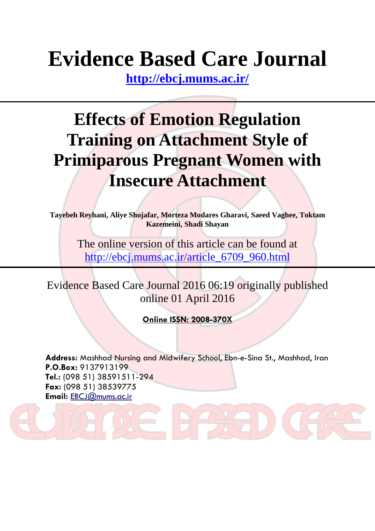# **Evidence Based Care Journal**

**<http://ebcj.mums.ac.ir/>**

## **Effects of Emotion Regulation Training on Attachment Style of Primiparous Pregnant Women with Insecure Attachment**

**Tayebeh Reyhani, Aliye Shojafar, Morteza Modares Gharavi, Saeed Vaghee, Toktam Kazemeini, Shadi Shayan**

> The online version of this article can be found at http://ebcj.mums.ac.ir/article\_6709\_960.html

Evidence Based Care Journal 2016 06:19 originally published online 01 April 2016

**Online ISSN: 2008-370X**

**Address:** Mashhad Nursing and Midwifery School, Ebn-e-Sina St., Mashhad, Iran **P.O.Box:** 9137913199 **Tel.:** (098 51) 38591511-294 **Fax:** (098 51) 38539775 **Email:** [EBCJ@mums.ac.ir](mailto:EBCJ@mums.ac.ir)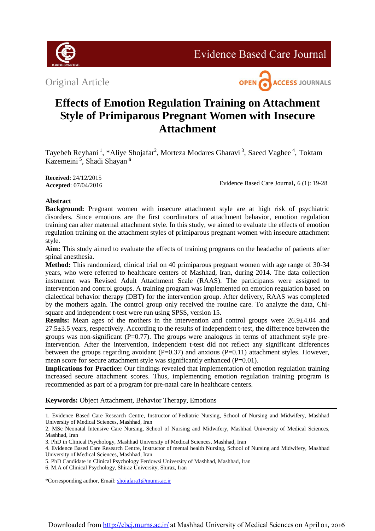

**Evidence Based Care Journal** 

Original Article



### **Effects of Emotion Regulation Training on Attachment Style of Primiparous Pregnant Women with Insecure Attachment**

Tayebeh Reyhani<sup>1</sup>, \*Aliye Shojafar<sup>2</sup>, Morteza Modares Gharavi<sup>3</sup>, Saeed Vaghee<sup>4</sup>, Toktam Kazemeini <sup>5</sup> , Shadi Shayan **<sup>6</sup>**

**Received**: 24/12/2015 **Accepted**: 07/04/2016

Evidence Based Care Journal, 6 (1): 19-28

#### **Abstract**

**Background:** Pregnant women with insecure attachment style are at high risk of psychiatric disorders. Since emotions are the first coordinators of attachment behavior, emotion regulation training can alter maternal attachment style. In this study, we aimed to evaluate the effects of emotion regulation training on the attachment styles of primiparous pregnant women with insecure attachment style.

**Aim:** This study aimed to evaluate the effects of training programs on the headache of patients after spinal anesthesia.

**Method:** This randomized, clinical trial on 40 primiparous pregnant women with age range of 30-34 years, who were referred to healthcare centers of Mashhad, Iran, during 2014. The data collection instrument was Revised Adult Attachment Scale (RAAS). The participants were assigned to intervention and control groups. A training program was implemented on emotion regulation based on dialectical behavior therapy (DBT) for the intervention group. After delivery, RAAS was completed by the mothers again. The control group only received the routine care. To analyze the data, Chisquare and independent t-test were run using SPSS, version 15.

**Results:** Mean ages of the mothers in the intervention and control groups were 26.9±4.04 and 27.5±3.5 years, respectively. According to the results of independent t-test, the difference between the groups was non-significant  $(P=0.77)$ . The groups were analogous in terms of attachment style preintervention. After the intervention, independent t-test did not reflect any significant differences between the groups regarding avoidant  $(P=0.37)$  and anxious  $(P=0.11)$  attachment styles. However, mean score for secure attachment style was significantly enhanced (P=0.01).

**Implications for Practice:** Our findings revealed that implementation of emotion regulation training increased secure attachment scores. Thus, implementing emotion regulation training program is recommended as part of a program for pre-natal care in healthcare centers.

**Keywords:** Object Attachment, Behavior Therapy, Emotions

1. Evidence Based Care Research Centre, Instructor of Pediatric Nursing, School of Nursing and Midwifery, Mashhad University of Medical Sciences, Mashhad, Iran

\*Corresponding author, Email: [shojafara1@mums.ac.ir](mailto:shojafara1@mums.ac.ir)

<sup>2.</sup> MSc Neonatal Intensive Care Nursing, School of Nursing and Midwifery, Mashhad University of Medical Sciences, Mashhad, Iran

<sup>3.</sup> PhD in Clinical Psychology, Mashhad University of Medical Sciences, Mashhad, Iran

<sup>4.</sup> Evidence Based Care Research Centre, Instructor of mental health Nursing, School of Nursing and Midwifery, Mashhad University of Medical Sciences, Mashhad, Iran

<sup>5.</sup> PhD Candidate in Clinical Psychology Ferdowsi University of Mashhad, Mashhad, Iran

<sup>6.</sup> M.A of Clinical Psychology, Shiraz University, Shiraz, Iran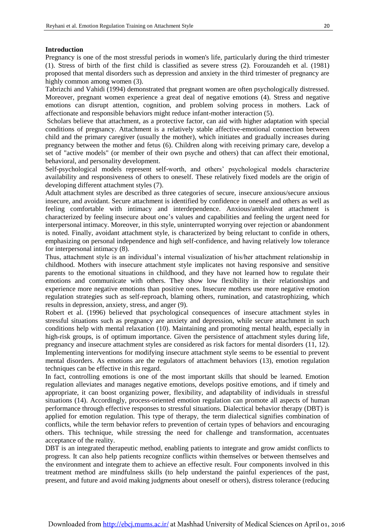#### **Introduction**

Pregnancy is one of the most stressful periods in women's life, particularly during the third trimester [\(1\)](#page-7-0). Stress of birth of the first child is classified as severe stress [\(2\)](#page-7-1). Forouzandeh et al. (1981) proposed that mental disorders such as depression and anxiety in the third trimester of pregnancy are highly common among women [\(3\)](#page-7-2).

I

Tabrizchi and Vahidi (1994) demonstrated that pregnant women are often psychologically distressed. Moreover, pregnant women experience a great deal of negative emotions [\(4\)](#page-8-0). Stress and negative emotions can disrupt attention, cognition, and problem solving process in mothers. Lack of affectionate and responsible behaviors might reduce infant-mother interaction [\(5\)](#page-8-1).

Scholars believe that attachment, as a protective factor, can aid with higher adaptation with special conditions of pregnancy. Attachment is a relatively stable affective-emotional connection between child and the primary caregiver (usually the mother), which initiates and gradually increases during pregnancy between the mother and fetus [\(6\)](#page-8-2). Children along with receiving primary care, develop a set of "active models" (or member of their own psyche and others) that can affect their emotional, behavioral, and personality development.

Self-psychological models represent self-worth, and others' psychological models characterize availability and responsiveness of others to oneself. These relatively fixed models are the origin of developing different attachment styles [\(7\)](#page-8-3).

Adult attachment styles are described as three categories of secure, insecure anxious/secure anxious insecure, and avoidant. Secure attachment is identified by confidence in oneself and others as well as feeling comfortable with intimacy and interdependence. Anxious/ambivalent attachment is characterized by feeling insecure about one's values and capabilities and feeling the urgent need for interpersonal intimacy. Moreover, in this style, uninterrupted worrying over rejection or abandonment is noted. Finally, avoidant attachment style, is characterized by being reluctant to confide in others, emphasizing on personal independence and high self-confidence, and having relatively low tolerance for interpersonal intimacy [\(8\)](#page-8-4).

Thus, attachment style is an individual's internal visualization of his/her attachment relationship in childhood. Mothers with insecure attachment style implicates not having responsive and sensitive parents to the emotional situations in childhood, and they have not learned how to regulate their emotions and communicate with others. They show low flexibility in their relationships and experience more negative emotions than positive ones. Insecure mothers use more negative emotion regulation strategies such as self-reproach, blaming others, rumination, and catastrophizing, which results in depression, anxiety, stress, and anger [\(9\)](#page-8-5).

Robert et al. (1996) believed that psychological consequences of insecure attachment styles in stressful situations such as pregnancy are anxiety and depression, while secure attachment in such conditions help with mental relaxation [\(10\)](#page-8-6). Maintaining and promoting mental health, especially in high-risk groups, is of optimum importance. Given the persistence of attachment styles during life, pregnancy and insecure attachment styles are considered as risk factors for mental disorders (11, [12\)](#page-8-7). Implementing interventions for modifying insecure attachment style seems to be essential to prevent mental disorders. As emotions are the regulators of attachment behaviors [\(13\)](#page-8-8), emotion regulation techniques can be effective in this regard.

In fact, controlling emotions is one of the most important skills that should be learned. Emotion regulation alleviates and manages negative emotions, develops positive emotions, and if timely and appropriate, it can boost organizing power, flexibility, and adaptability of individuals in stressful situations [\(14\)](#page-8-9). Accordingly, process-oriented emotion regulation can promote all aspects of human performance through effective responses to stressful situations. Dialectical behavior therapy (DBT) is applied for emotion regulation. This type of therapy, the term dialectical signifies combination of conflicts, while the term behavior refers to prevention of certain types of behaviors and encouraging others. This technique, while stressing the need for challenge and transformation, accentuates acceptance of the reality.

DBT is an integrated therapeutic method, enabling patients to integrate and grow amidst conflicts to progress. It can also help patients recognize conflicts within themselves or between themselves and the environment and integrate them to achieve an effective result. Four components involved in this treatment method are mindfulness skills (to help understand the painful experiences of the past, present, and future and avoid making judgments about oneself or others), distress tolerance (reducing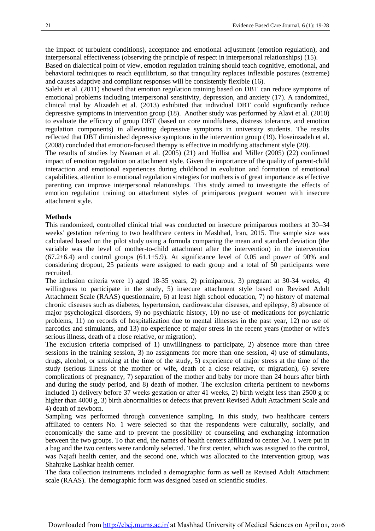the impact of turbulent conditions), acceptance and emotional adjustment (emotion regulation), and interpersonal effectiveness (observing the principle of respect in interpersonal relationships) [\(15](#page-8-10)).

Based on dialectical point of view, emotion regulation training should teach cognitive, emotional, and behavioral techniques to reach equilibrium, so that tranquility replaces inflexible postures (extreme) and causes adaptive and compliant responses will be consistently flexible [\(16\)](#page-8-11).

Salehi et al. (2011) showed that emotion regulation training based on DBT can reduce symptoms of emotional problems including interpersonal sensitivity, depression, and anxiety [\(17\)](#page-8-12). A randomized, clinical trial by Alizadeh et al. (2013) exhibited that individual DBT could significantly reduce depressive symptoms in intervention group [\(18\)](#page-8-13). Another study was performed by Alavi et al. (2010) to evaluate the efficacy of group DBT (based on core mindfulness, distress tolerance, and emotion regulation components) in alleviating depressive symptoms in university students. The results reflected that DBT diminished depressive symptoms in the intervention group [\(19\)](#page-8-14). Hoseinzadeh et al. (2008) concluded that emotion-focused therapy is effective in modifying attachment style [\(20\)](#page-8-15).

The results of studies by Naaman et al. (2005) [\(21\)](#page-9-0) and Hollist and Miller (2005) [\(22\)](#page-9-1) confirmed impact of emotion regulation on attachment style. Given the importance of the quality of parent-child interaction and emotional experiences during childhood in evolution and formation of emotional capabilities, attention to emotional regulation strategies for mothers is of great importance as effective parenting can improve interpersonal relationships. This study aimed to investigate the effects of emotion regulation training on attachment styles of primiparous pregnant women with insecure attachment style.

#### **Methods**

This randomized, controlled clinical trial was conducted on insecure primiparous mothers at 30–34 weeks' gestation referring to two healthcare centers in Mashhad, Iran, 2015. The sample size was calculated based on the pilot study using a formula comparing the mean and standard deviation (the variable was the level of mother-to-child attachment after the intervention) in the intervention  $(67.2\pm6.4)$  and control groups  $(61.1\pm5.9)$ . At significance level of 0.05 and power of 90% and considering dropout, 25 patients were assigned to each group and a total of 50 participants were recruited.

The inclusion criteria were 1) aged 18-35 years, 2) primiparous, 3) pregnant at 30-34 weeks, 4) willingness to participate in the study, 5) insecure attachment style based on Revised Adult Attachment Scale (RAAS) questionnaire, 6) at least high school education, 7) no history of maternal chronic diseases such as diabetes, hypertension, cardiovascular diseases, and epilepsy, 8) absence of major psychological disorders, 9) no psychiatric history, 10) no use of medications for psychiatric problems, 11) no records of hospitalization due to mental illnesses in the past year, 12) no use of narcotics and stimulants, and 13) no experience of major stress in the recent years (mother or wife's serious illness, death of a close relative, or migration).

The exclusion criteria comprised of 1) unwillingness to participate, 2) absence more than three sessions in the training session, 3) no assignments for more than one session, 4) use of stimulants, drugs, alcohol, or smoking at the time of the study, 5) experience of major stress at the time of the study (serious illness of the mother or wife, death of a close relative, or migration), 6) severe complications of pregnancy, 7) separation of the mother and baby for more than 24 hours after birth and during the study period, and 8) death of mother. The exclusion criteria pertinent to newborns included 1) delivery before 37 weeks gestation or after 41 weeks, 2) birth weight less than 2500 g or higher than 4000 g, 3) birth abnormalities or defects that prevent Revised Adult Attachment Scale and 4) death of newborn.

Sampling was performed through convenience sampling. In this study, two healthcare centers affiliated to centers No. 1 were selected so that the respondents were culturally, socially, and economically the same and to prevent the possibility of counseling and exchanging information between the two groups. To that end, the names of health centers affiliated to center No. 1 were put in a bag and the two centers were randomly selected. The first center, which was assigned to the control, was Najafi health center, and the second one, which was allocated to the intervention group, was Shahrake Lashkar health center.

The data collection instruments included a demographic form as well as Revised Adult Attachment scale (RAAS). The demographic form was designed based on scientific studies.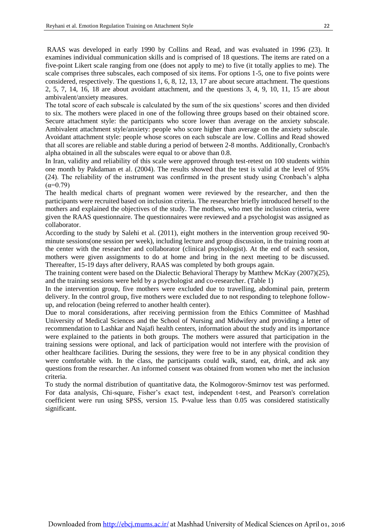RAAS was developed in early 1990 by Collins and Read, and was evaluated in 1996 [\(23\)](#page-9-2). It examines individual communication skills and is comprised of 18 questions. The items are rated on a five-point Likert scale ranging from one (does not apply to me) to five (it totally applies to me). The scale comprises three subscales, each composed of six items. For options 1-5, one to five points were considered, respectively. The questions 1, 6, 8, 12, 13, 17 are about secure attachment. The questions 2, 5, 7, 14, 16, 18 are about avoidant attachment, and the questions 3, 4, 9, 10, 11, 15 are about ambivalent/anxiety measures.

I

The total score of each subscale is calculated by the sum of the six questions' scores and then divided to six. The mothers were placed in one of the following three groups based on their obtained score. Secure attachment style: the participants who score lower than average on the anxiety subscale. Ambivalent attachment style/anxiety: people who score higher than average on the anxiety subscale. Avoidant attachment style: people whose scores on each subscale are low. Collins and Read showed that all scores are reliable and stable during a period of between 2-8 months. Additionally, Cronbach's alpha obtained in all the subscales were equal to or above than 0.8.

In Iran, validity and reliability of this scale were approved through test-retest on 100 students within one month by Pakdaman et al. (2004). The results showed that the test is valid at the level of 95% [\(24\)](#page-9-3). The reliability of the instrument was confirmed in the present study using Cronbach's alpha  $(α=0.79)$ 

The health medical charts of pregnant women were reviewed by the researcher, and then the participants were recruited based on inclusion criteria. The researcher briefly introduced herself to the mothers and explained the objectives of the study. The mothers, who met the inclusion criteria, were given the RAAS questionnaire. The questionnaires were reviewed and a psychologist was assigned as collaborator.

According to the study by Salehi et al. (2011), eight mothers in the intervention group received 90 minute sessions(one session per week), including lecture and group discussion, in the training room at the center with the researcher and collaborator (clinical psychologist). At the end of each session, mothers were given assignments to do at home and bring in the next meeting to be discussed. Thereafter, 15-19 days after delivery, RAAS was completed by both groups again.

The training content were based on the Dialectic Behavioral Therapy by Matthew McKay (2007)[\(25\)](#page-9-4), and the training sessions were held by a psychologist and co-researcher. (Table 1)

In the intervention group, five mothers were excluded due to travelling, abdominal pain, preterm delivery. In the control group, five mothers were excluded due to not responding to telephone followup, and relocation (being referred to another health center).

Due to moral considerations, after receiving permission from the Ethics Committee of Mashhad University of Medical Sciences and the School of Nursing and Midwifery and providing a letter of recommendation to Lashkar and Najafi health centers, information about the study and its importance were explained to the patients in both groups. The mothers were assured that participation in the training sessions were optional, and lack of participation would not interfere with the provision of other healthcare facilities. During the sessions, they were free to be in any physical condition they were comfortable with. In the class, the participants could walk, stand, eat, drink, and ask any questions from the researcher. An informed consent was obtained from women who met the inclusion criteria.

To study the normal distribution of quantitative data, the Kolmogorov-Smirnov test was performed. For data analysis, Chi-square, Fisher's exact test, independent t-test, and Pearson's correlation coefficient were run using SPSS, version 15. P-value less than 0.05 was considered statistically significant.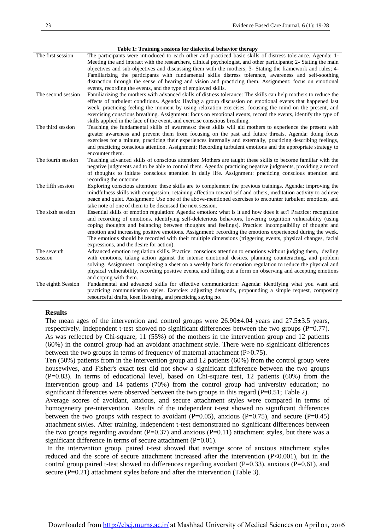| The first session  | The participants were introduced to each other and practiced basic skills of distress tolerance. Agenda: 1-       |
|--------------------|-------------------------------------------------------------------------------------------------------------------|
|                    | Meeting the and interact with the researchers, clinical psychologist, and other participants; 2- Stating the main |
|                    | objectives and sub-objectives and discussing them with the mothers; 3- Stating the framework and rules; 4-        |
|                    | Familiarizing the participants with fundamental skills distress tolerance, awareness and self-soothing            |
|                    | distraction through the sense of hearing and vision and practicing them. Assignment: focus on emotional           |
|                    | events, recording the events, and the type of employed skills.                                                    |
| The second session | Familiarizing the mothers with advanced skills of distress tolerance: The skills can help mothers to reduce the   |
|                    | effects of turbulent conditions. Agenda: Having a group discussion on emotional events that happened last         |
|                    | week, practicing feeling the moment by using relaxation exercises, focusing the mind on the present, and          |
|                    | exercising conscious breathing. Assignment: focus on emotional events, record the events, identify the type of    |
|                    | skills applied in the face of the event, and exercise conscious breathing.                                        |
| The third session  | Teaching the fundamental skills of awareness: these skills will aid mothers to experience the present with        |
|                    | greater awareness and prevent them from focusing on the past and future threats. Agenda: doing focus              |
|                    | exercises for a minute, practicing their experiences internally and externally, practicing describing feelings,   |
|                    | and practicing conscious attention. Assignment: Recording turbulent emotions and the appropriate strategy to      |
|                    | encounter them.                                                                                                   |
| The fourth session | Teaching advanced skills of conscious attention: Mothers are taught these skills to become familiar with the      |
|                    | negative judgments and to be able to control them. Agenda: practicing negative judgments, providing a record      |
|                    | of thoughts to initiate conscious attention in daily life. Assignment: practicing conscious attention and         |
|                    | recording the outcome.                                                                                            |
| The fifth session  | Exploring conscious attention: these skills are to complement the previous trainings. Agenda: improving the       |
|                    | mindfulness skills with compassion, retaining affection toward self and others, meditation activity to achieve    |
|                    | peace and quiet. Assignment: Use one of the above-mentioned exercises to encounter turbulent emotions, and        |
|                    | take note of one of them to be discussed the next session.                                                        |
| The sixth session  | Essential skills of emotion regulation: Agenda: emotion: what is it and how does it act? Practice: recognition    |
|                    | and recording of emotions, identifying self-deleterious behaviors, lowering cognition vulnerability (using        |
|                    | coping thoughts and balancing between thoughts and feelings). Practice: incompatibility of thought and            |
|                    | emotion and increasing positive emotions. Assignment: recording the emotions experienced during the week.         |
|                    | The emotions should be recorded with their multiple dimensions (triggering events, physical changes, facial       |
|                    | expressions, and the desire for action).                                                                          |
| The seventh        | Advanced emotion regulation skills. Practice: conscious attention to emotions without judging them, dealing       |
| session            | with emotions, taking action against the intense emotional desires, planning counteracting, and problem           |
|                    | solving. Assignment: completing a sheet on a weekly basis for emotion regulation to reduce the physical and       |
|                    | physical vulnerability, recording positive events, and filling out a form on observing and accepting emotions     |
|                    | and coping with them.                                                                                             |
| The eighth Session | Fundamental and advanced skills for effective communication: Agenda: identifying what you want and                |
|                    | practicing communication styles. Exercise: adjusting demands, propounding a simple request, composing             |
|                    | resourceful drafts, keen listening, and practicing saying no.                                                     |
|                    |                                                                                                                   |

#### **Table 1: Training sessions for dialectical behavior therapy**

#### **Results**

The mean ages of the intervention and control groups were  $26.90\pm4.04$  years and  $27.5\pm3.5$  years, respectively. Independent t-test showed no significant differences between the two groups (P=0.77). As was reflected by Chi-square, 11 (55%) of the mothers in the intervention group and 12 patients (60%) in the control group had an avoidant attachment style. There were no significant differences between the two groups in terms of frequency of maternal attachment (P>0.75).

Ten (50%) patients from in the intervention group and 12 patients (60%) from the control group were housewives, and Fisher's exact test did not show a significant difference between the two groups  $(P=0.83)$ . In terms of educational level, based on Chi-square test, 12 patients  $(60\%)$  from the intervention group and 14 patients (70%) from the control group had university education; no significant differences were observed between the two groups in this regard  $(P=0.51;$  Table 2).

Average scores of avoidant, anxious, and secure attachment styles were compared in terms of homogeneity pre-intervention. Results of the independent t-test showed no significant differences between the two groups with respect to avoidant ( $P=0.05$ ), anxious ( $P=0.75$ ), and secure ( $P=0.45$ ) attachment styles. After training, independent t-test demonstrated no significant differences between the two groups regarding avoidant ( $P=0.37$ ) and anxious ( $P=0.11$ ) attachment styles, but there was a significant difference in terms of secure attachment (P=0.01).

In the intervention group, paired t-test showed that average score of anxious attachment styles reduced and the score of secure attachment increased after the intervention (P<0.001), but in the control group paired t-test showed no differences regarding avoidant (P=0.33), anxious (P=0.61), and secure (P=0.21) attachment styles before and after the intervention (Table 3).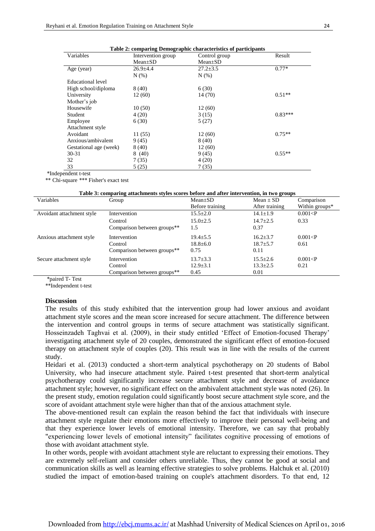| Table 2: comparing Demographic characteristics of participants |                |           |  |  |  |  |  |
|----------------------------------------------------------------|----------------|-----------|--|--|--|--|--|
| Intervention group                                             | Control group  | Result    |  |  |  |  |  |
| $Mean \pm SD$                                                  | $Mean \pm SD$  |           |  |  |  |  |  |
| $26.9 \pm 4.4$                                                 | $27.2 \pm 3.5$ | $0.77*$   |  |  |  |  |  |
| N(% )                                                          | N(% )          |           |  |  |  |  |  |
|                                                                |                |           |  |  |  |  |  |
| 8(40)                                                          | 6(30)          |           |  |  |  |  |  |
| 12 (60)                                                        | 14 (70)        | $0.51**$  |  |  |  |  |  |
|                                                                |                |           |  |  |  |  |  |
| 10(50)                                                         | 12 (60)        |           |  |  |  |  |  |
| 4(20)                                                          | 3(15)          | $0.83***$ |  |  |  |  |  |
| 6(30)                                                          | 5(27)          |           |  |  |  |  |  |
|                                                                |                |           |  |  |  |  |  |
| 11(55)                                                         | 12 (60)        | $0.75**$  |  |  |  |  |  |
| 9(45)                                                          | 8(40)          |           |  |  |  |  |  |
| 8(40)                                                          | 12(60)         |           |  |  |  |  |  |
| 8(40)                                                          | 9(45)          | $0.55**$  |  |  |  |  |  |
| 7(35)                                                          | 4(20)          |           |  |  |  |  |  |
| 5(25)                                                          | 7(35)          |           |  |  |  |  |  |
|                                                                |                |           |  |  |  |  |  |

I

\*Independent t-test

\*\* Chi-square \*\*\* Fisher's exact test

#### **Table 3: comparing attachments styles scores before and after intervention, in two groups**

| Variables                 | Group                       | $Mean \pm SD$   | $Mean \pm SD$  | Comparison     |
|---------------------------|-----------------------------|-----------------|----------------|----------------|
|                           |                             | Before training | After training | Within groups* |
| Avoidant attachment style | Intervention                | $15.5 \pm 2.0$  | $14.1 \pm 1.9$ | 0.001 < P      |
|                           | Control                     | $15.0 \pm 2.5$  | $14.7 \pm 2.5$ | 0.33           |
|                           | Comparison between groups** | 1.5             | 0.37           |                |
| Anxious attachment style  | Intervention                | $19.4 \pm 5.5$  | $16.2 \pm 3.7$ | 0.001 < P      |
|                           | Control                     | $18.8 \pm 6.0$  | $18.7 + 5.7$   | 0.61           |
|                           | Comparison between groups** | 0.75            | 0.11           |                |
| Secure attachment style   | Intervention                | $13.7 \pm 3.3$  | $15.5 \pm 2.6$ | 0.001 < P      |
|                           | Control                     | $12.9 \pm 3.1$  | $13.3 \pm 2.5$ | 0.21           |
|                           | Comparison between groups** | 0.45            | 0.01           |                |

\*paired T- Test

\*\*Independent t-test

#### **Discussion**

The results of this study exhibited that the intervention group had lower anxious and avoidant attachment style scores and the mean score increased for secure attachment. The difference between the intervention and control groups in terms of secure attachment was statistically significant. Hosseinzadeh Taghvai et al. (2009), in their study entitled 'Effect of Emotion-focused Therapy' investigating attachment style of 20 couples, demonstrated the significant effect of emotion-focused therapy on attachment style of couples [\(20\)](#page-8-15). This result was in line with the results of the current study.

Heidari et al. (2013) conducted a short-term analytical psychotherapy on 20 students of Babol University, who had insecure attachment style. Paired t-test presented that short-term analytical psychotherapy could significantly increase secure attachment style and decrease of avoidance attachment style; however, no significant effect on the ambivalent attachment style was noted [\(26\)](#page-9-5). In the present study, emotion regulation could significantly boost secure attachment style score, and the score of avoidant attachment style were higher than that of the anxious attachment style.

The above-mentioned result can explain the reason behind the fact that individuals with insecure attachment style regulate their emotions more effectively to improve their personal well-being and that they experience lower levels of emotional intensity. Therefore, we can say that probably "experiencing lower levels of emotional intensity" facilitates cognitive processing of emotions of those with avoidant attachment style.

In other words, people with avoidant attachment style are reluctant to expressing their emotions. They are extremely self-reliant and consider others unreliable. Thus, they cannot be good at social and communication skills as well as learning effective strategies to solve problems. Halchuk et al. (2010) studied the impact of emotion-based training on couple's attachment disorders. To that end, 12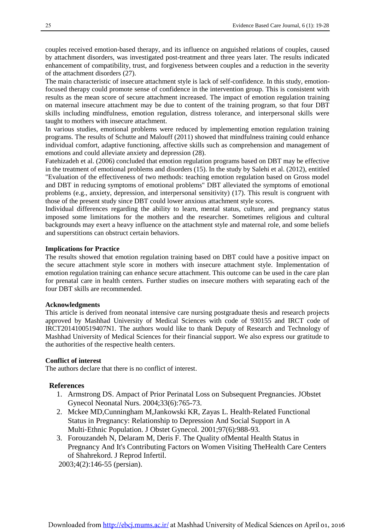couples received emotion-based therapy, and its influence on anguished relations of couples, caused by attachment disorders, was investigated post-treatment and three years later. The results indicated enhancement of compatibility, trust, and forgiveness between couples and a reduction in the severity of the attachment disorders [\(27\)](#page-9-6).

The main characteristic of insecure attachment style is lack of self-confidence. In this study, emotionfocused therapy could promote sense of confidence in the intervention group. This is consistent with results as the mean score of secure attachment increased. The impact of emotion regulation training on maternal insecure attachment may be due to content of the training program, so that four DBT skills including mindfulness, emotion regulation, distress tolerance, and interpersonal skills were taught to mothers with insecure attachment.

In various studies, emotional problems were reduced by implementing emotion regulation training programs. The results of Schutte and Malouff (2011) showed that mindfulness training could enhance individual comfort, adaptive functioning, affective skills such as comprehension and management of emotions and could alleviate anxiety and depression [\(28\)](#page-9-7).

Fatehizadeh et al. (2006) concluded that emotion regulation programs based on DBT may be effective in the treatment of emotional problems and disorders [\(15\)](#page-8-10). In the study by Salehi et al. (2012), entitled "Evaluation of the effectiveness of two methods: teaching emotion regulation based on Gross model and DBT in reducing symptoms of emotional problems" DBT alleviated the symptoms of emotional problems (e.g., anxiety, depression, and interpersonal sensitivity) [\(17\)](#page-8-12). This result is congruent with those of the present study since DBT could lower anxious attachment style scores.

Individual differences regarding the ability to learn, mental status, culture, and pregnancy status imposed some limitations for the mothers and the researcher. Sometimes religious and cultural backgrounds may exert a heavy influence on the attachment style and maternal role, and some beliefs and superstitions can obstruct certain behaviors.

#### **Implications for Practice**

The results showed that emotion regulation training based on DBT could have a positive impact on the secure attachment style score in mothers with insecure attachment style. Implementation of emotion regulation training can enhance secure attachment. This outcome can be used in the care plan for prenatal care in health centers. Further studies on insecure mothers with separating each of the four DBT skills are recommended.

#### **Acknowledgments**

This article is derived from neonatal intensive care nursing postgraduate thesis and research projects approved by Mashhad University of Medical Sciences with code of 930155 and IRCT code of IRCT2014100519407N1. The authors would like to thank Deputy of Research and Technology of Mashhad University of Medical Sciences for their financial support. We also express our gratitude to the authorities of the respective health centers.

#### **Conflict of interest**

The authors declare that there is no conflict of interest.

#### <span id="page-7-0"></span> **References**

- <span id="page-7-1"></span>1. Armstrong DS. Ampact of Prior Perinatal Loss on Subsequent Pregnancies. JObstet Gynecol Neonatal Nurs. 2004;33(6):765-73.
- 2. Mckee MD,Cunningham M,Jankowski KR, Zayas L. Health‐Related Functional Status in Pregnancy: Relationship to Depression And Social Support in A Multi‐Ethnic Population. J Obstet Gynecol. 2001;97(6):988-93.
- <span id="page-7-2"></span>3. Forouzandeh N, Delaram M, Deris F. The Quality ofMental Health Status in Pregnancy And It's Contributing Factors on Women Visiting TheHealth Care Centers of Shahrekord. J Reprod Infertil.

2003;4(2):146-55 (persian).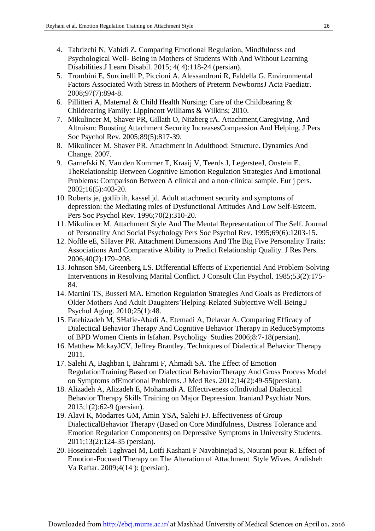<span id="page-8-0"></span>4. Tabrizchi N, Vahidi Z. Comparing Emotional Regulation, Mindfulness and Psychological Well- Being in Mothers of Students With And Without Learning Disabilities.J Learn Disabil. 2015; 4( 4):118-24 (persian).

<span id="page-8-3"></span>I

- <span id="page-8-1"></span>5. Trombini E, Surcinelli P, Piccioni A, Alessandroni R, Faldella G. Environmental Factors Associated With Stress in Mothers of Preterm NewbornsJ Acta Paediatr. 2008;97(7):894-8.
- <span id="page-8-2"></span>6. Pillitteri A, Maternal & Child Health Nursing: Care of the Childbearing & Childrearing Family: Lippincott Williams & Wilkins; 2010.
- 7. Mikulincer M, Shaver PR, Gillath O, Nitzberg rA. Attachment,Caregiving, And Altruism: Boosting Attachment Security IncreasesCompassion And Helping. J Pers Soc Psychol Rev. 2005;89(5):817-39.
- <span id="page-8-5"></span><span id="page-8-4"></span>8. Mikulincer M, Shaver PR. Attachment in Adulthood: Structure. Dynamics And Change. 2007.
- 9. Garnefski N, Van den Kommer T, Kraaij V, Teerds J, LegersteeJ, Onstein E. TheRelationship Between Cognitive Emotion Regulation Strategies And Emotional Problems: Comparison Between A clinical and a non‐clinical sample. Eur j pers. 2002;16(5):403-20.
- <span id="page-8-6"></span>10. Roberts je, gotlib ih, kassel jd. Adult attachment security and symptoms of depression: the Mediating roles of Dysfunctional Attitudes And Low Self-Esteem. Pers Soc Psychol Rev. 1996;70(2):310-20.
- 11. Mikulincer M. Attachment Style And The Mental Representation of The Self. Journal of Personality And Social Psychology Pers Soc Psychol Rev. 1995;69(6):1203-15.
- <span id="page-8-7"></span>12. Noftle eE, SHaver PR. Attachment Dimensions And The Big Five Personality Traits: Associations And Comparative Ability to Predict Relationship Quality. J Res Pers. 2006;40(2):179–208.
- <span id="page-8-8"></span>13. Johnson SM, Greenberg LS. Differential Effects of Experiential And Problem-Solving Interventions in Resolving Marital Conflict. J Consult Clin Psychol. 1985;53(2):175- 84.
- <span id="page-8-9"></span>14. Martini TS, Busseri MA. Emotion Regulation Strategies And Goals as Predictors of Older Mothers And Adult Daughters'Helping-Related Subjective Well-Being.J Psychol Aging. 2010;25(1):48.
- <span id="page-8-10"></span>15. Fatehizadeh M, SHafie-Abadi A, Etemadi A, Delavar A. Comparing Efficacy of Dialectical Behavior Therapy And Cognitive Behavior Therapy in ReduceSymptoms of BPD Women Cients in Isfahan. Psycholigy Studies 2006;8:7-18(persian).
- <span id="page-8-11"></span>16. Matthew MckayJCV, Jeffrey Brantley. Techniques of Dialectical Behavior Therapy 2011.
- <span id="page-8-12"></span>17. Salehi A, Baghban I, Bahrami F, Ahmadi SA. The Effect of Emotion RegulationTraining Based on Dialectical BehaviorTherapy And Gross Process Model on Symptoms ofEmotional Problems. J Med Res. 2012;14(2):49-55(persian).
- <span id="page-8-13"></span>18. Alizadeh A, Alizadeh E, Mohamadi A. Effectiveness ofIndividual Dialectical Behavior Therapy Skills Training on Major Depression. IranianJ Psychiatr Nurs. 2013;1(2):62-9 (persian).
- <span id="page-8-14"></span>19. Alavi K, Modarres GM, Amin YSA, Salehi FJ. Effectiveness of Group DialecticalBehavior Therapy (Based on Core Mindfulness, Distress Tolerance and Emotion Regulation Components) on Depressive Symptoms in University Students. 2011;13(2):124-35 (persian).
- <span id="page-8-15"></span>20. Hoseinzadeh Taghvaei M, Lotfi Kashani F Navabinejad S, Nourani pour R. Effect of Emotion-Focused Therapy on The Alteration of Attachment Style Wives. Andisheh Va Raftar. 2009;4(14 ): (persian).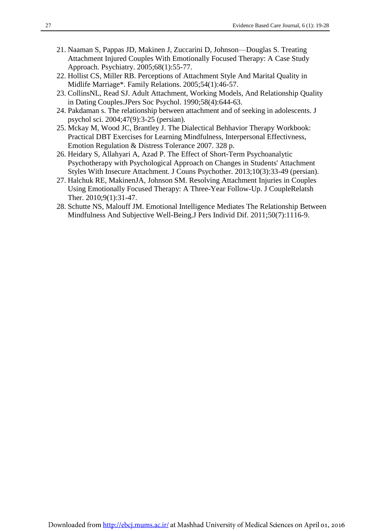- <span id="page-9-0"></span>21. Naaman S, Pappas JD, Makinen J, Zuccarini D, Johnson—Douglas S. Treating Attachment Injured Couples With Emotionally Focused Therapy: A Case Study Approach. Psychiatry. 2005;68(1):55-77.
- <span id="page-9-1"></span>22. Hollist CS, Miller RB. Perceptions of Attachment Style And Marital Quality in Midlife Marriage\*. Family Relations. 2005;54(1):46-57.
- <span id="page-9-2"></span>23. CollinsNL, Read SJ. Adult Attachment, Working Models, And Relationship Quality in Dating Couples.JPers Soc Psychol. 1990;58(4):644-63.
- <span id="page-9-3"></span>24. Pakdaman s. The relationship between attachment and of seeking in adolescents. J psychol sci. 2004;47(9):3-25 (persian).
- <span id="page-9-4"></span>25. Mckay M, Wood JC, Brantley J. The Dialectical Behhavior Therapy Workbook: Practical DBT Exercises for Learning Mindfulness, Interpersonal Effectivness, Emotion Regulation & Distress Tolerance 2007. 328 p.
- <span id="page-9-5"></span>26. Heidary S, Allahyari A, Azad P. The Effect of Short-Term Psychoanalytic Psychotherapy with Psychological Approach on Changes in Students' Attachment Styles With Insecure Attachment. J Couns Psychother. 2013;10(3):33-49 (persian).
- <span id="page-9-6"></span>27. Halchuk RE, MakinenJA, Johnson SM. Resolving Attachment Injuries in Couples Using Emotionally Focused Therapy: A Three-Year Follow-Up. J CoupleRelatsh Ther. 2010;9(1):31-47.
- <span id="page-9-7"></span>28. Schutte NS, Malouff JM. Emotional Intelligence Mediates The Relationship Between Mindfulness And Subjective Well-Being.J Pers Individ Dif. 2011;50(7):1116-9.